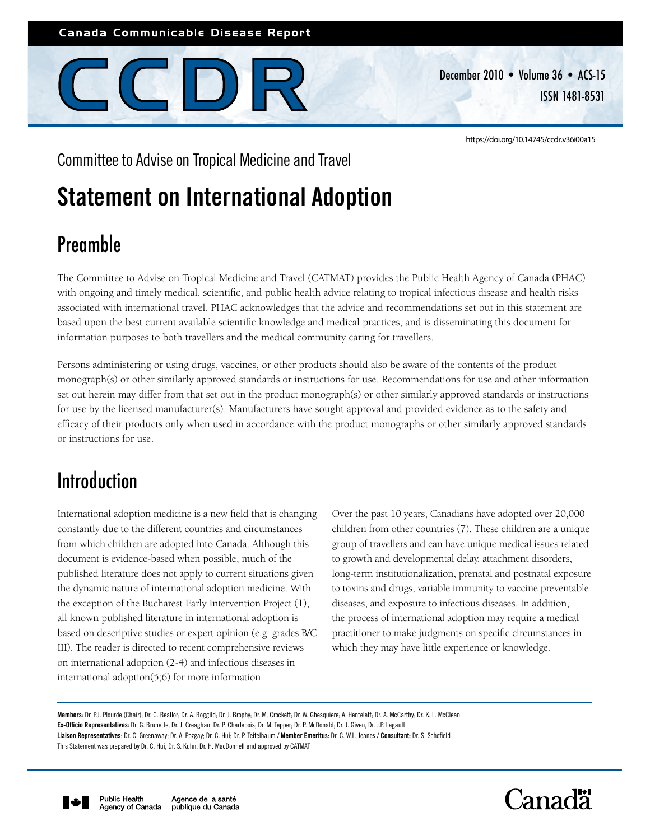## Canada Communicable Disease Report



December 2010 • Volume 36 • ACS-15 ISSN 1481-8531

<https://doi.org/10.14745/ccdr.v36i00a15>

Committee to Advise on Tropical Medicine and Travel

# Statement on International Adoption

# Preamble

The Committee to Advise on Tropical Medicine and Travel (CATMAT) provides the Public Health Agency of Canada (PHAC) with ongoing and timely medical, scientific, and public health advice relating to tropical infectious disease and health risks associated with international travel. PHAC acknowledges that the advice and recommendations set out in this statement are based upon the best current available scientific knowledge and medical practices, and is disseminating this document for information purposes to both travellers and the medical community caring for travellers.

Persons administering or using drugs, vaccines, or other products should also be aware of the contents of the product monograph(s) or other similarly approved standards or instructions for use. Recommendations for use and other information set out herein may differ from that set out in the product monograph(s) or other similarly approved standards or instructions for use by the licensed manufacturer(s). Manufacturers have sought approval and provided evidence as to the safety and efficacy of their products only when used in accordance with the product monographs or other similarly approved standards or instructions for use.

## Introduction

International adoption medicine is a new field that is changing constantly due to the different countries and circumstances from which children are adopted into Canada. Although this document is evidence-based when possible, much of the published literature does not apply to current situations given the dynamic nature of international adoption medicine. With the exception of the Bucharest Early Intervention Project (1), all known published literature in international adoption is based on descriptive studies or expert opinion (e.g. grades B/C III). The reader is directed to recent comprehensive reviews on international adoption (2-4) and infectious diseases in international adoption(5;6) for more information.

Over the past 10 years, Canadians have adopted over 20,000 children from other countries (7). These children are a unique group of travellers and can have unique medical issues related to growth and developmental delay, attachment disorders, long-term institutionalization, prenatal and postnatal exposure to toxins and drugs, variable immunity to vaccine preventable diseases, and exposure to infectious diseases. In addition, the process of international adoption may require a medical practitioner to make judgments on specific circumstances in which they may have little experience or knowledge.

Liaison Representatives: Dr. C. Greenaway; Dr. A. Pozgay; Dr. C. Hui; Dr. P. Teitelbaum / Member Emeritus: Dr. C. W.L. Jeanes / Consultant: Dr. S. Schofield This Statement was prepared by Dr. C. Hui, Dr. S. Kuhn, Dr. H. MacDonnell and approved by CATMAT





Members: Dr. P.J. Plourde (Chair); Dr. C. Beallor; Dr. A. Boggild; Dr. J. Brophy; Dr. M. Crockett; Dr. W. Ghesquiere; A. Henteleff; Dr. A. McCarthy; Dr. K. L. McClean

Ex-Officio Representatives: Dr. G. Brunette, Dr. J. Creaghan, Dr. P. Charlebois; Dr. M. Tepper; Dr. P. McDonald; Dr. J. Given, Dr. J.P. Legault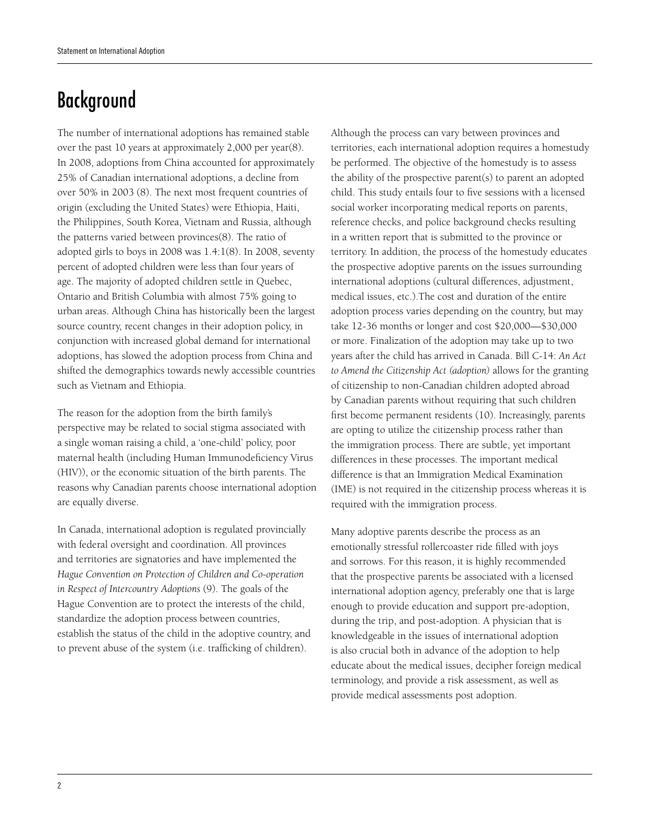# Background

The number of international adoptions has remained stable over the past 10 years at approximately 2,000 per year(8). In 2008, adoptions from China accounted for approximately 25% of Canadian international adoptions, a decline from over 50% in 2003 (8). The next most frequent countries of origin (excluding the United States) were Ethiopia, Haiti, the Philippines, South Korea, Vietnam and Russia, although the patterns varied between provinces(8). The ratio of adopted girls to boys in 2008 was 1.4:1(8). In 2008, seventy percent of adopted children were less than four years of age. The majority of adopted children settle in Quebec, Ontario and British Columbia with almost 75% going to urban areas. Although China has historically been the largest source country, recent changes in their adoption policy, in conjunction with increased global demand for international adoptions, has slowed the adoption process from China and shifted the demographics towards newly accessible countries such as Vietnam and Ethiopia.

The reason for the adoption from the birth family's perspective may be related to social stigma associated with a single woman raising a child, a 'one-child' policy, poor maternal health (including Human Immunodeficiency Virus (HIV)), or the economic situation of the birth parents. The reasons why Canadian parents choose international adoption are equally diverse.

In Canada, international adoption is regulated provincially with federal oversight and coordination. All provinces and territories are signatories and have implemented the *Hague Convention on Protection of Children and Co-operation in Respect of Intercountry Adoptions* (9). The goals of the Hague Convention are to protect the interests of the child, standardize the adoption process between countries, establish the status of the child in the adoptive country, and to prevent abuse of the system (i.e. trafficking of children).

Although the process can vary between provinces and territories, each international adoption requires a homestudy be performed. The objective of the homestudy is to assess the ability of the prospective parent(s) to parent an adopted child. This study entails four to five sessions with a licensed social worker incorporating medical reports on parents, reference checks, and police background checks resulting in a written report that is submitted to the province or territory. In addition, the process of the homestudy educates the prospective adoptive parents on the issues surrounding international adoptions (cultural differences, adjustment, medical issues, etc.).The cost and duration of the entire adoption process varies depending on the country, but may take 12-36 months or longer and cost \$20,000—\$30,000 or more. Finalization of the adoption may take up to two years after the child has arrived in Canada. Bill C-14: *An Act to Amend the Citizenship Act (adoption)* allows for the granting of citizenship to non-Canadian children adopted abroad by Canadian parents without requiring that such children first become permanent residents (10). Increasingly, parents are opting to utilize the citizenship process rather than the immigration process. There are subtle, yet important differences in these processes. The important medical difference is that an Immigration Medical Examination (IME) is not required in the citizenship process whereas it is required with the immigration process.

Many adoptive parents describe the process as an emotionally stressful rollercoaster ride filled with joys and sorrows. For this reason, it is highly recommended that the prospective parents be associated with a licensed international adoption agency, preferably one that is large enough to provide education and support pre-adoption, during the trip, and post-adoption. A physician that is knowledgeable in the issues of international adoption is also crucial both in advance of the adoption to help educate about the medical issues, decipher foreign medical terminology, and provide a risk assessment, as well as provide medical assessments post adoption.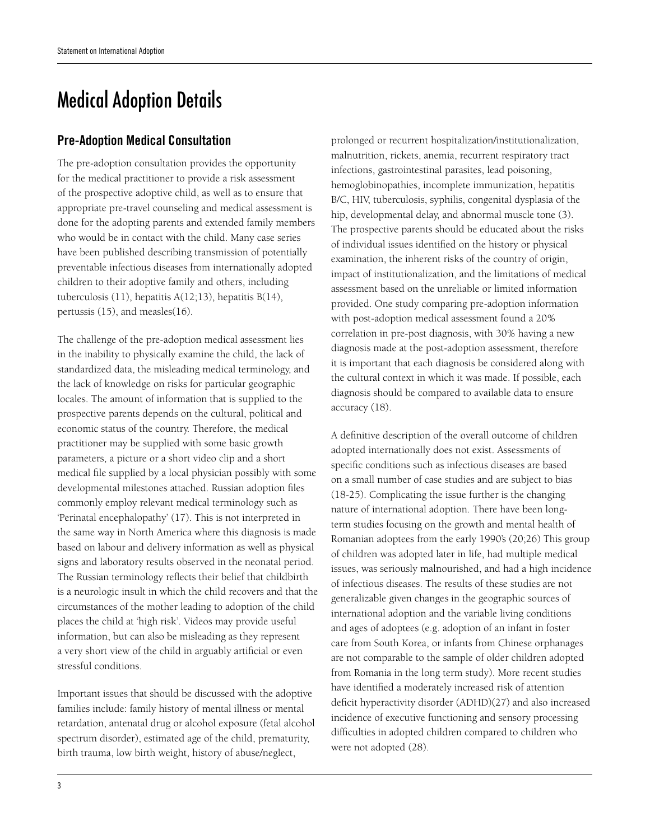## Medical Adoption Details

## Pre-Adoption Medical Consultation

The pre-adoption consultation provides the opportunity for the medical practitioner to provide a risk assessment of the prospective adoptive child, as well as to ensure that appropriate pre-travel counseling and medical assessment is done for the adopting parents and extended family members who would be in contact with the child. Many case series have been published describing transmission of potentially preventable infectious diseases from internationally adopted children to their adoptive family and others, including tuberculosis (11), hepatitis A(12;13), hepatitis B(14), pertussis (15), and measles(16).

The challenge of the pre-adoption medical assessment lies in the inability to physically examine the child, the lack of standardized data, the misleading medical terminology, and the lack of knowledge on risks for particular geographic locales. The amount of information that is supplied to the prospective parents depends on the cultural, political and economic status of the country. Therefore, the medical practitioner may be supplied with some basic growth parameters, a picture or a short video clip and a short medical file supplied by a local physician possibly with some developmental milestones attached. Russian adoption files commonly employ relevant medical terminology such as 'Perinatal encephalopathy' (17). This is not interpreted in the same way in North America where this diagnosis is made based on labour and delivery information as well as physical signs and laboratory results observed in the neonatal period. The Russian terminology reflects their belief that childbirth is a neurologic insult in which the child recovers and that the circumstances of the mother leading to adoption of the child places the child at 'high risk'. Videos may provide useful information, but can also be misleading as they represent a very short view of the child in arguably artificial or even stressful conditions.

Important issues that should be discussed with the adoptive families include: family history of mental illness or mental retardation, antenatal drug or alcohol exposure (fetal alcohol spectrum disorder), estimated age of the child, prematurity, birth trauma, low birth weight, history of abuse/neglect,

prolonged or recurrent hospitalization/institutionalization, malnutrition, rickets, anemia, recurrent respiratory tract infections, gastrointestinal parasites, lead poisoning, hemoglobinopathies, incomplete immunization, hepatitis B/C, HIV, tuberculosis, syphilis, congenital dysplasia of the hip, developmental delay, and abnormal muscle tone (3). The prospective parents should be educated about the risks of individual issues identified on the history or physical examination, the inherent risks of the country of origin, impact of institutionalization, and the limitations of medical assessment based on the unreliable or limited information provided. One study comparing pre-adoption information with post-adoption medical assessment found a 20% correlation in pre-post diagnosis, with 30% having a new diagnosis made at the post-adoption assessment, therefore it is important that each diagnosis be considered along with the cultural context in which it was made. If possible, each diagnosis should be compared to available data to ensure accuracy (18).

A definitive description of the overall outcome of children adopted internationally does not exist. Assessments of specific conditions such as infectious diseases are based on a small number of case studies and are subject to bias (18-25). Complicating the issue further is the changing nature of international adoption. There have been longterm studies focusing on the growth and mental health of Romanian adoptees from the early 1990's (20;26) This group of children was adopted later in life, had multiple medical issues, was seriously malnourished, and had a high incidence of infectious diseases. The results of these studies are not generalizable given changes in the geographic sources of international adoption and the variable living conditions and ages of adoptees (e.g. adoption of an infant in foster care from South Korea, or infants from Chinese orphanages are not comparable to the sample of older children adopted from Romania in the long term study). More recent studies have identified a moderately increased risk of attention deficit hyperactivity disorder (ADHD)(27) and also increased incidence of executive functioning and sensory processing difficulties in adopted children compared to children who were not adopted (28).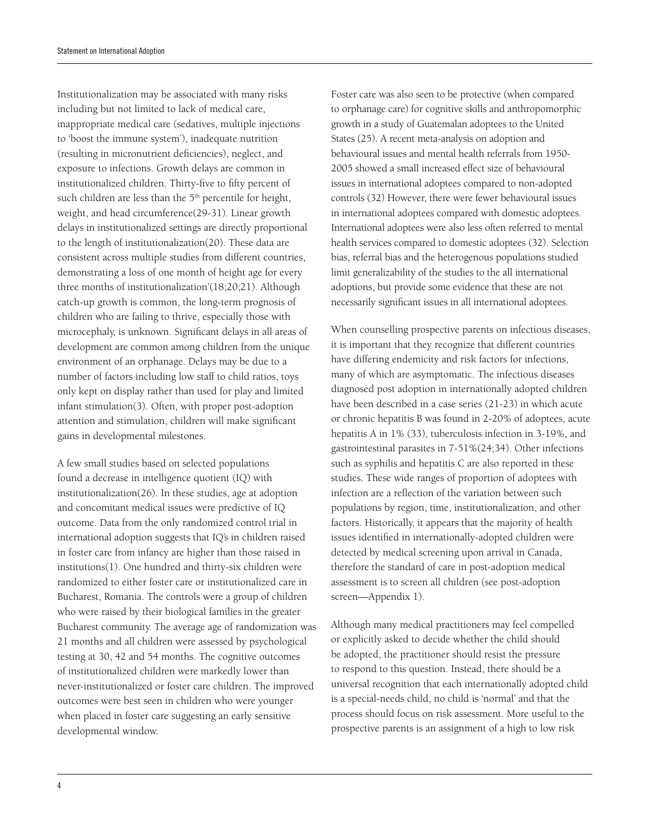Institutionalization may be associated with many risks including but not limited to lack of medical care, inappropriate medical care (sedatives, multiple injections to 'boost the immune system'), inadequate nutrition (resulting in micronutrient deficiencies), neglect, and exposure to infections. Growth delays are common in institutionalized children. Thirty-five to fifty percent of such children are less than the 5<sup>th</sup> percentile for height, weight, and head circumference(29-31). Linear growth delays in institutionalized settings are directly proportional to the length of institutionalization(20). These data are consistent across multiple studies from different countries, demonstrating a loss of one month of height age for every three months of institutionalization'(18;20;21). Although catch-up growth is common, the long-term prognosis of children who are failing to thrive, especially those with microcephaly, is unknown. Significant delays in all areas of development are common among children from the unique environment of an orphanage. Delays may be due to a number of factors including low staff to child ratios, toys only kept on display rather than used for play and limited infant stimulation(3). Often, with proper post-adoption attention and stimulation, children will make significant gains in developmental milestones.

A few small studies based on selected populations found a decrease in intelligence quotient (IQ) with institutionalization(26). In these studies, age at adoption and concomitant medical issues were predictive of IQ outcome. Data from the only randomized control trial in international adoption suggests that IQ's in children raised in foster care from infancy are higher than those raised in institutions(1). One hundred and thirty-six children were randomized to either foster care or institutionalized care in Bucharest, Romania. The controls were a group of children who were raised by their biological families in the greater Bucharest community. The average age of randomization was 21 months and all children were assessed by psychological testing at 30, 42 and 54 months. The cognitive outcomes of institutionalized children were markedly lower than never-institutionalized or foster care children. The improved outcomes were best seen in children who were younger when placed in foster care suggesting an early sensitive developmental window.

Foster care was also seen to be protective (when compared to orphanage care) for cognitive skills and anthropomorphic growth in a study of Guatemalan adoptees to the United States (25). A recent meta-analysis on adoption and behavioural issues and mental health referrals from 1950- 2005 showed a small increased effect size of behavioural issues in international adoptees compared to non-adopted controls (32) However, there were fewer behavioural issues in international adoptees compared with domestic adoptees. International adoptees were also less often referred to mental health services compared to domestic adoptees (32). Selection bias, referral bias and the heterogenous populations studied limit generalizability of the studies to the all international adoptions, but provide some evidence that these are not necessarily significant issues in all international adoptees.

When counselling prospective parents on infectious diseases, it is important that they recognize that different countries have differing endemicity and risk factors for infections, many of which are asymptomatic. The infectious diseases diagnosed post adoption in internationally adopted children have been described in a case series (21-23) in which acute or chronic hepatitis B was found in 2-20% of adoptees, acute hepatitis A in 1% (33), tuberculosis infection in 3-19%, and gastrointestinal parasites in 7-51%(24;34). Other infections such as syphilis and hepatitis C are also reported in these studies. These wide ranges of proportion of adoptees with infection are a reflection of the variation between such populations by region, time, institutionalization, and other factors. Historically, it appears that the majority of health issues identified in internationally-adopted children were detected by medical screening upon arrival in Canada, therefore the standard of care in post-adoption medical assessment is to screen all children (see post-adoption screen—Appendix 1).

Although many medical practitioners may feel compelled or explicitly asked to decide whether the child should be adopted, the practitioner should resist the pressure to respond to this question. Instead, there should be a universal recognition that each internationally adopted child is a special-needs child, no child is 'normal' and that the process should focus on risk assessment. More useful to the prospective parents is an assignment of a high to low risk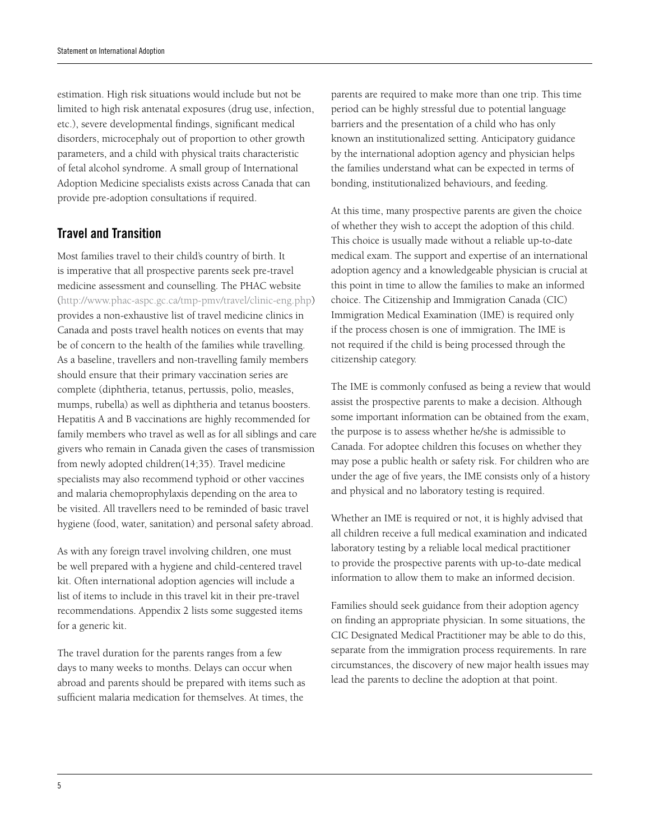estimation. High risk situations would include but not be limited to high risk antenatal exposures (drug use, infection, etc.), severe developmental findings, significant medical disorders, microcephaly out of proportion to other growth parameters, and a child with physical traits characteristic of fetal alcohol syndrome. A small group of International Adoption Medicine specialists exists across Canada that can provide pre-adoption consultations if required.

### Travel and Transition

Most families travel to their child's country of birth. It is imperative that all prospective parents seek pre-travel medicine assessment and counselling. The PHAC website (http://www.phac-aspc.gc.ca/tmp-pmv/travel/clinic-eng.php) provides a non-exhaustive list of travel medicine clinics in Canada and posts travel health notices on events that may be of concern to the health of the families while travelling. As a baseline, travellers and non-travelling family members should ensure that their primary vaccination series are complete (diphtheria, tetanus, pertussis, polio, measles, mumps, rubella) as well as diphtheria and tetanus boosters. Hepatitis A and B vaccinations are highly recommended for family members who travel as well as for all siblings and care givers who remain in Canada given the cases of transmission from newly adopted children(14;35). Travel medicine specialists may also recommend typhoid or other vaccines and malaria chemoprophylaxis depending on the area to be visited. All travellers need to be reminded of basic travel hygiene (food, water, sanitation) and personal safety abroad.

As with any foreign travel involving children, one must be well prepared with a hygiene and child-centered travel kit. Often international adoption agencies will include a list of items to include in this travel kit in their pre-travel recommendations. Appendix 2 lists some suggested items for a generic kit.

The travel duration for the parents ranges from a few days to many weeks to months. Delays can occur when abroad and parents should be prepared with items such as sufficient malaria medication for themselves. At times, the

parents are required to make more than one trip. This time period can be highly stressful due to potential language barriers and the presentation of a child who has only known an institutionalized setting. Anticipatory guidance by the international adoption agency and physician helps the families understand what can be expected in terms of bonding, institutionalized behaviours, and feeding.

At this time, many prospective parents are given the choice of whether they wish to accept the adoption of this child. This choice is usually made without a reliable up-to-date medical exam. The support and expertise of an international adoption agency and a knowledgeable physician is crucial at this point in time to allow the families to make an informed choice. The Citizenship and Immigration Canada (CIC) Immigration Medical Examination (IME) is required only if the process chosen is one of immigration. The IME is not required if the child is being processed through the citizenship category.

The IME is commonly confused as being a review that would assist the prospective parents to make a decision. Although some important information can be obtained from the exam, the purpose is to assess whether he/she is admissible to Canada. For adoptee children this focuses on whether they may pose a public health or safety risk. For children who are under the age of five years, the IME consists only of a history and physical and no laboratory testing is required.

Whether an IME is required or not, it is highly advised that all children receive a full medical examination and indicated laboratory testing by a reliable local medical practitioner to provide the prospective parents with up-to-date medical information to allow them to make an informed decision.

Families should seek guidance from their adoption agency on finding an appropriate physician. In some situations, the CIC Designated Medical Practitioner may be able to do this, separate from the immigration process requirements. In rare circumstances, the discovery of new major health issues may lead the parents to decline the adoption at that point.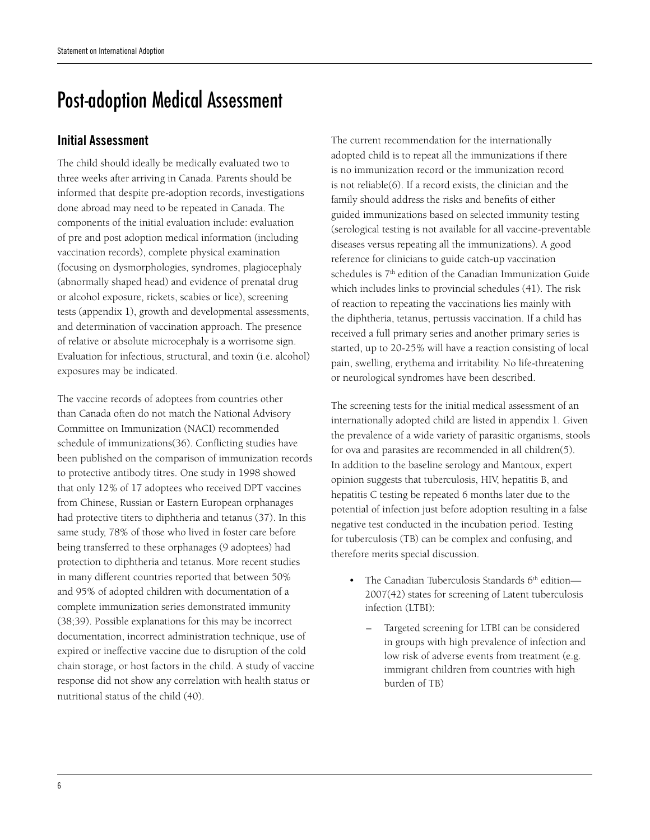## Post-adoption Medical Assessment

## Initial Assessment

The child should ideally be medically evaluated two to three weeks after arriving in Canada. Parents should be informed that despite pre-adoption records, investigations done abroad may need to be repeated in Canada. The components of the initial evaluation include: evaluation of pre and post adoption medical information (including vaccination records), complete physical examination (focusing on dysmorphologies, syndromes, plagiocephaly (abnormally shaped head) and evidence of prenatal drug or alcohol exposure, rickets, scabies or lice), screening tests (appendix 1), growth and developmental assessments, and determination of vaccination approach. The presence of relative or absolute microcephaly is a worrisome sign. Evaluation for infectious, structural, and toxin (i.e. alcohol) exposures may be indicated.

The vaccine records of adoptees from countries other than Canada often do not match the National Advisory Committee on Immunization (NACI) recommended schedule of immunizations(36). Conflicting studies have been published on the comparison of immunization records to protective antibody titres. One study in 1998 showed that only 12% of 17 adoptees who received DPT vaccines from Chinese, Russian or Eastern European orphanages had protective titers to diphtheria and tetanus (37). In this same study, 78% of those who lived in foster care before being transferred to these orphanages (9 adoptees) had protection to diphtheria and tetanus. More recent studies in many different countries reported that between 50% and 95% of adopted children with documentation of a complete immunization series demonstrated immunity (38;39). Possible explanations for this may be incorrect documentation, incorrect administration technique, use of expired or ineffective vaccine due to disruption of the cold chain storage, or host factors in the child. A study of vaccine response did not show any correlation with health status or nutritional status of the child (40).

The current recommendation for the internationally adopted child is to repeat all the immunizations if there is no immunization record or the immunization record is not reliable(6). If a record exists, the clinician and the family should address the risks and benefits of either guided immunizations based on selected immunity testing (serological testing is not available for all vaccine-preventable diseases versus repeating all the immunizations). A good reference for clinicians to guide catch-up vaccination schedules is 7<sup>th</sup> edition of the Canadian Immunization Guide which includes links to provincial schedules (41). The risk of reaction to repeating the vaccinations lies mainly with the diphtheria, tetanus, pertussis vaccination. If a child has received a full primary series and another primary series is started, up to 20-25% will have a reaction consisting of local pain, swelling, erythema and irritability. No life-threatening or neurological syndromes have been described.

The screening tests for the initial medical assessment of an internationally adopted child are listed in appendix 1. Given the prevalence of a wide variety of parasitic organisms, stools for ova and parasites are recommended in all children(5). In addition to the baseline serology and Mantoux, expert opinion suggests that tuberculosis, HIV, hepatitis B, and hepatitis C testing be repeated 6 months later due to the potential of infection just before adoption resulting in a false negative test conducted in the incubation period. Testing for tuberculosis (TB) can be complex and confusing, and therefore merits special discussion.

- The Canadian Tuberculosis Standards  $6<sup>th</sup>$  edition— 2007(42) states for screening of Latent tuberculosis infection (LTBI):
	- Targeted screening for LTBI can be considered in groups with high prevalence of infection and low risk of adverse events from treatment (e.g. immigrant children from countries with high burden of TB)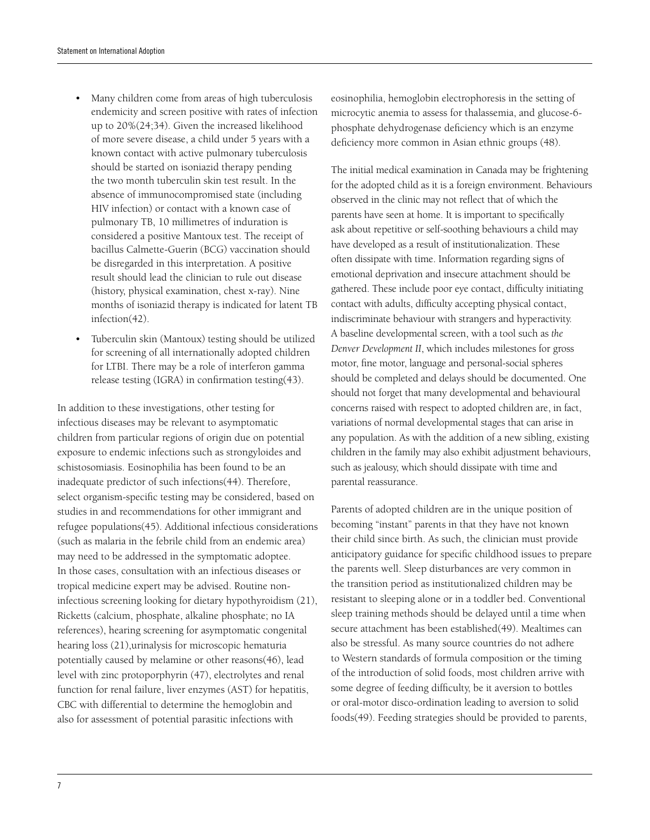- Many children come from areas of high tuberculosis endemicity and screen positive with rates of infection up to 20%(24;34). Given the increased likelihood of more severe disease, a child under 5 years with a known contact with active pulmonary tuberculosis should be started on isoniazid therapy pending the two month tuberculin skin test result. In the absence of immunocompromised state (including HIV infection) or contact with a known case of pulmonary TB, 10 millimetres of induration is considered a positive Mantoux test. The receipt of bacillus Calmette-Guerin (BCG) vaccination should be disregarded in this interpretation. A positive result should lead the clinician to rule out disease (history, physical examination, chest x-ray). Nine months of isoniazid therapy is indicated for latent TB infection(42).
- Tuberculin skin (Mantoux) testing should be utilized for screening of all internationally adopted children for LTBI. There may be a role of interferon gamma release testing (IGRA) in confirmation testing(43).

In addition to these investigations, other testing for infectious diseases may be relevant to asymptomatic children from particular regions of origin due on potential exposure to endemic infections such as strongyloides and schistosomiasis. Eosinophilia has been found to be an inadequate predictor of such infections(44). Therefore, select organism-specific testing may be considered, based on studies in and recommendations for other immigrant and refugee populations(45). Additional infectious considerations (such as malaria in the febrile child from an endemic area) may need to be addressed in the symptomatic adoptee. In those cases, consultation with an infectious diseases or tropical medicine expert may be advised. Routine noninfectious screening looking for dietary hypothyroidism (21), Ricketts (calcium, phosphate, alkaline phosphate; no IA references), hearing screening for asymptomatic congenital hearing loss (21),urinalysis for microscopic hematuria potentially caused by melamine or other reasons(46), lead level with zinc protoporphyrin (47), electrolytes and renal function for renal failure, liver enzymes (AST) for hepatitis, CBC with differential to determine the hemoglobin and also for assessment of potential parasitic infections with

eosinophilia, hemoglobin electrophoresis in the setting of microcytic anemia to assess for thalassemia, and glucose-6 phosphate dehydrogenase deficiency which is an enzyme deficiency more common in Asian ethnic groups (48).

The initial medical examination in Canada may be frightening for the adopted child as it is a foreign environment. Behaviours observed in the clinic may not reflect that of which the parents have seen at home. It is important to specifically ask about repetitive or self-soothing behaviours a child may have developed as a result of institutionalization. These often dissipate with time. Information regarding signs of emotional deprivation and insecure attachment should be gathered. These include poor eye contact, difficulty initiating contact with adults, difficulty accepting physical contact, indiscriminate behaviour with strangers and hyperactivity. A baseline developmental screen, with a tool such as *the Denver Development II*, which includes milestones for gross motor, fine motor, language and personal-social spheres should be completed and delays should be documented. One should not forget that many developmental and behavioural concerns raised with respect to adopted children are, in fact, variations of normal developmental stages that can arise in any population. As with the addition of a new sibling, existing children in the family may also exhibit adjustment behaviours, such as jealousy, which should dissipate with time and parental reassurance.

Parents of adopted children are in the unique position of becoming "instant" parents in that they have not known their child since birth. As such, the clinician must provide anticipatory guidance for specific childhood issues to prepare the parents well. Sleep disturbances are very common in the transition period as institutionalized children may be resistant to sleeping alone or in a toddler bed. Conventional sleep training methods should be delayed until a time when secure attachment has been established(49). Mealtimes can also be stressful. As many source countries do not adhere to Western standards of formula composition or the timing of the introduction of solid foods, most children arrive with some degree of feeding difficulty, be it aversion to bottles or oral-motor disco-ordination leading to aversion to solid foods(49). Feeding strategies should be provided to parents,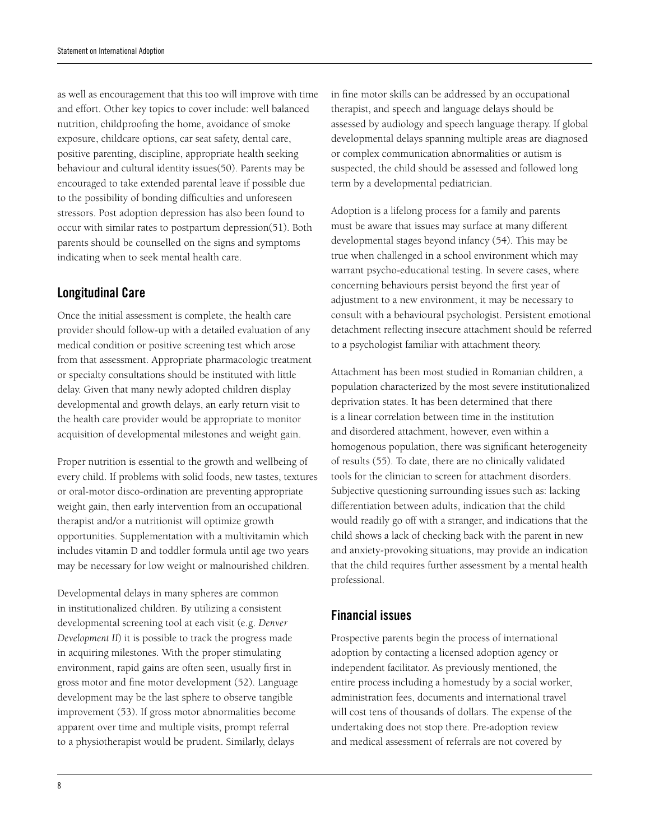as well as encouragement that this too will improve with time and effort. Other key topics to cover include: well balanced nutrition, childproofing the home, avoidance of smoke exposure, childcare options, car seat safety, dental care, positive parenting, discipline, appropriate health seeking behaviour and cultural identity issues(50). Parents may be encouraged to take extended parental leave if possible due to the possibility of bonding difficulties and unforeseen stressors. Post adoption depression has also been found to occur with similar rates to postpartum depression(51). Both parents should be counselled on the signs and symptoms indicating when to seek mental health care.

## Longitudinal Care

Once the initial assessment is complete, the health care provider should follow-up with a detailed evaluation of any medical condition or positive screening test which arose from that assessment. Appropriate pharmacologic treatment or specialty consultations should be instituted with little delay. Given that many newly adopted children display developmental and growth delays, an early return visit to the health care provider would be appropriate to monitor acquisition of developmental milestones and weight gain.

Proper nutrition is essential to the growth and wellbeing of every child. If problems with solid foods, new tastes, textures or oral-motor disco-ordination are preventing appropriate weight gain, then early intervention from an occupational therapist and/or a nutritionist will optimize growth opportunities. Supplementation with a multivitamin which includes vitamin D and toddler formula until age two years may be necessary for low weight or malnourished children.

Developmental delays in many spheres are common in institutionalized children. By utilizing a consistent developmental screening tool at each visit (e.g. *Denver Development II*) it is possible to track the progress made in acquiring milestones. With the proper stimulating environment, rapid gains are often seen, usually first in gross motor and fine motor development (52). Language development may be the last sphere to observe tangible improvement (53). If gross motor abnormalities become apparent over time and multiple visits, prompt referral to a physiotherapist would be prudent. Similarly, delays

in fine motor skills can be addressed by an occupational therapist, and speech and language delays should be assessed by audiology and speech language therapy. If global developmental delays spanning multiple areas are diagnosed or complex communication abnormalities or autism is suspected, the child should be assessed and followed long term by a developmental pediatrician.

Adoption is a lifelong process for a family and parents must be aware that issues may surface at many different developmental stages beyond infancy (54). This may be true when challenged in a school environment which may warrant psycho-educational testing. In severe cases, where concerning behaviours persist beyond the first year of adjustment to a new environment, it may be necessary to consult with a behavioural psychologist. Persistent emotional detachment reflecting insecure attachment should be referred to a psychologist familiar with attachment theory.

Attachment has been most studied in Romanian children, a population characterized by the most severe institutionalized deprivation states. It has been determined that there is a linear correlation between time in the institution and disordered attachment, however, even within a homogenous population, there was significant heterogeneity of results (55). To date, there are no clinically validated tools for the clinician to screen for attachment disorders. Subjective questioning surrounding issues such as: lacking differentiation between adults, indication that the child would readily go off with a stranger, and indications that the child shows a lack of checking back with the parent in new and anxiety-provoking situations, may provide an indication that the child requires further assessment by a mental health professional.

### Financial issues

Prospective parents begin the process of international adoption by contacting a licensed adoption agency or independent facilitator. As previously mentioned, the entire process including a homestudy by a social worker, administration fees, documents and international travel will cost tens of thousands of dollars. The expense of the undertaking does not stop there. Pre-adoption review and medical assessment of referrals are not covered by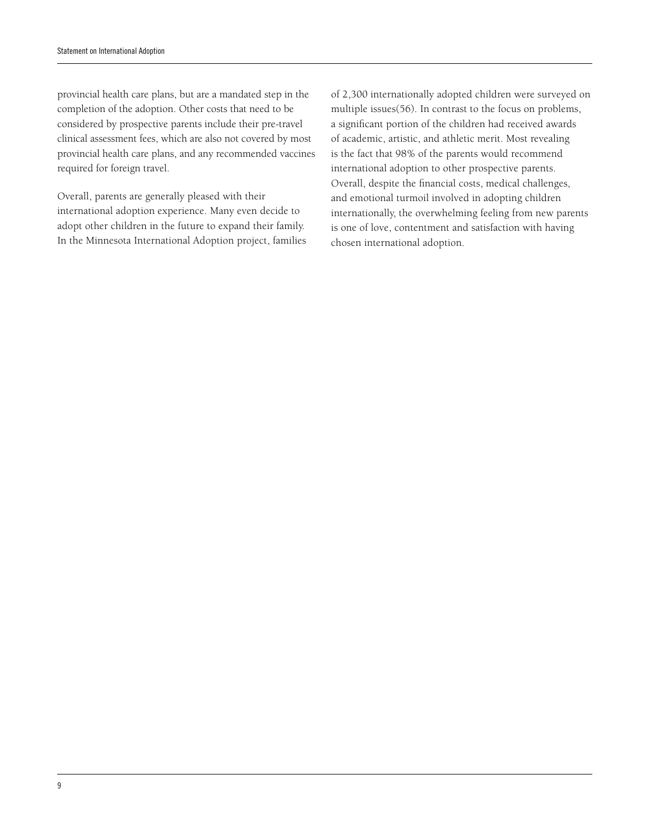provincial health care plans, but are a mandated step in the completion of the adoption. Other costs that need to be considered by prospective parents include their pre-travel clinical assessment fees, which are also not covered by most provincial health care plans, and any recommended vaccines required for foreign travel.

Overall, parents are generally pleased with their international adoption experience. Many even decide to adopt other children in the future to expand their family. In the Minnesota International Adoption project, families of 2,300 internationally adopted children were surveyed on multiple issues(56). In contrast to the focus on problems, a significant portion of the children had received awards of academic, artistic, and athletic merit. Most revealing is the fact that 98% of the parents would recommend international adoption to other prospective parents. Overall, despite the financial costs, medical challenges, and emotional turmoil involved in adopting children internationally, the overwhelming feeling from new parents is one of love, contentment and satisfaction with having chosen international adoption.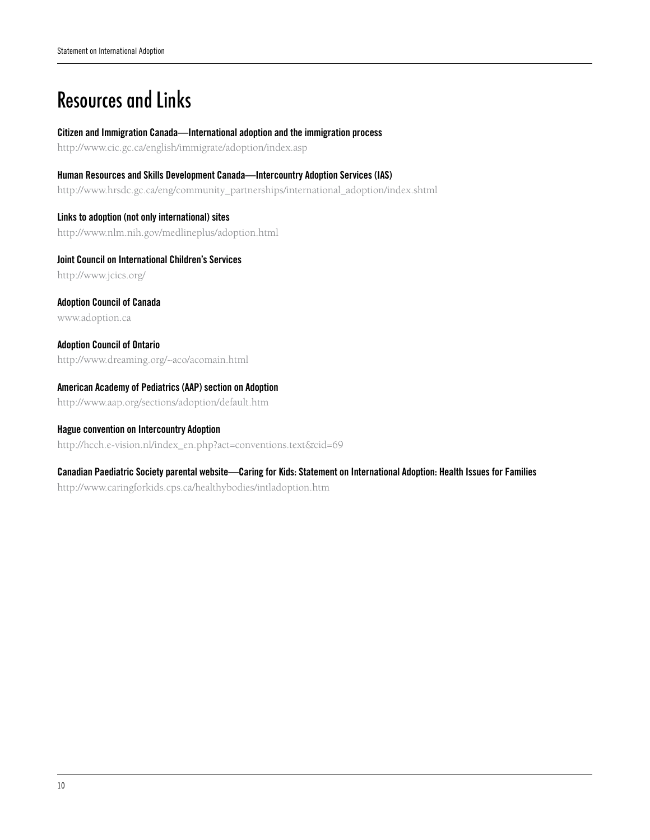# Resources and Links

#### Citizen and Immigration Canada—International adoption and the immigration process

http://www.cic.gc.ca/english/immigrate/adoption/index.asp

Human Resources and Skills Development Canada—Intercountry Adoption Services (IAS) http://www.hrsdc.gc.ca/eng/community\_partnerships/international\_adoption/index.shtml

Links to adoption (not only international) sites http://www.nlm.nih.gov/medlineplus/adoption.html

Joint Council on International Children's Services http://www.jcics.org/

Adoption Council of Canada www.adoption.ca

Adoption Council of Ontario http://www.dreaming.org/~aco/acomain.html

#### American Academy of Pediatrics (AAP) section on Adoption

http://www.aap.org/sections/adoption/default.htm

### Hague convention on Intercountry Adoption

http://hcch.e-vision.nl/index\_en.php?act=conventions.text&cid=69

#### Canadian Paediatric Society parental website—Caring for Kids: Statement on International Adoption: Health Issues for Families

http://www.caringforkids.cps.ca/healthybodies/intladoption.htm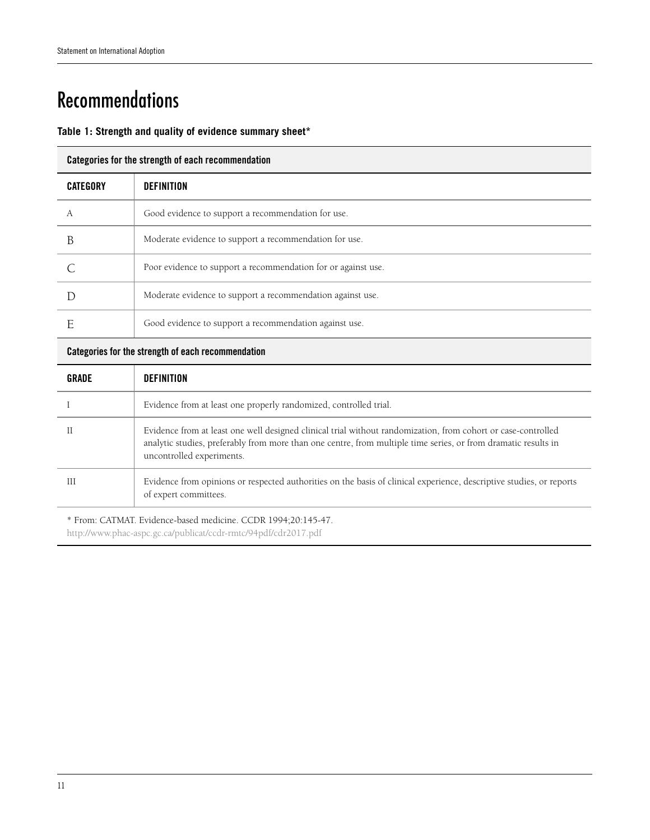# Recommendations

### **Table 1: Strength and quality of evidence summary sheet\***

#### Categories for the strength of each recommendation

| <b>CATEGORY</b> | <b>DEFINITION</b>                                             |
|-----------------|---------------------------------------------------------------|
| А               | Good evidence to support a recommendation for use.            |
|                 | Moderate evidence to support a recommendation for use.        |
|                 | Poor evidence to support a recommendation for or against use. |
|                 | Moderate evidence to support a recommendation against use.    |
|                 | Good evidence to support a recommendation against use.        |

#### Categories for the strength of each recommendation

| GRADE | DEFINITION                                                                                                                                                                                                                                                   |
|-------|--------------------------------------------------------------------------------------------------------------------------------------------------------------------------------------------------------------------------------------------------------------|
|       | Evidence from at least one properly randomized, controlled trial.                                                                                                                                                                                            |
|       | Evidence from at least one well designed clinical trial without randomization, from cohort or case-controlled<br>analytic studies, preferably from more than one centre, from multiple time series, or from dramatic results in<br>uncontrolled experiments. |
| Ш     | Evidence from opinions or respected authorities on the basis of clinical experience, descriptive studies, or reports<br>of expert committees.                                                                                                                |

\* From: CATMAT. Evidence-based medicine. CCDR 1994;20:145-47.

http://www.phac-aspc.gc.ca/publicat/ccdr-rmtc/94pdf/cdr2017.pdf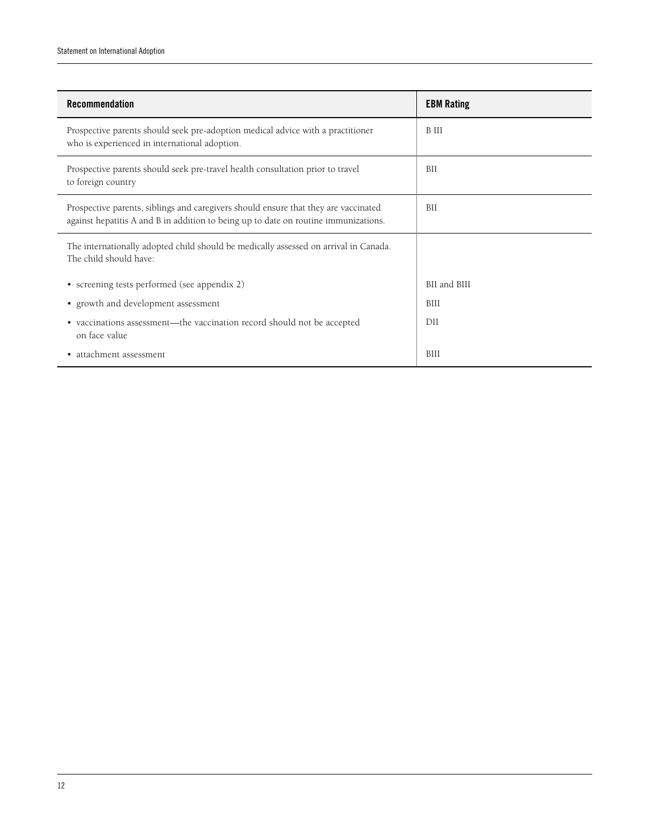| <b>Recommendation</b>                                                                                                                                                      | <b>EBM Rating</b> |
|----------------------------------------------------------------------------------------------------------------------------------------------------------------------------|-------------------|
| Prospective parents should seek pre-adoption medical advice with a practitioner<br>who is experienced in international adoption.                                           | <b>B</b> III      |
| Prospective parents should seek pre-travel health consultation prior to travel<br>to foreign country                                                                       | BII               |
| Prospective parents, siblings and caregivers should ensure that they are vaccinated<br>against hepatitis A and B in addition to being up to date on routine immunizations. | BII               |
| The internationally adopted child should be medically assessed on arrival in Canada.<br>The child should have:                                                             |                   |
| • screening tests performed (see appendix 2)                                                                                                                               | BII and BIII      |
| • growth and development assessment                                                                                                                                        | <b>BIII</b>       |
| • vaccinations assessment—the vaccination record should not be accepted<br>on face value                                                                                   | DH                |
| • attachment assessment                                                                                                                                                    | BIII              |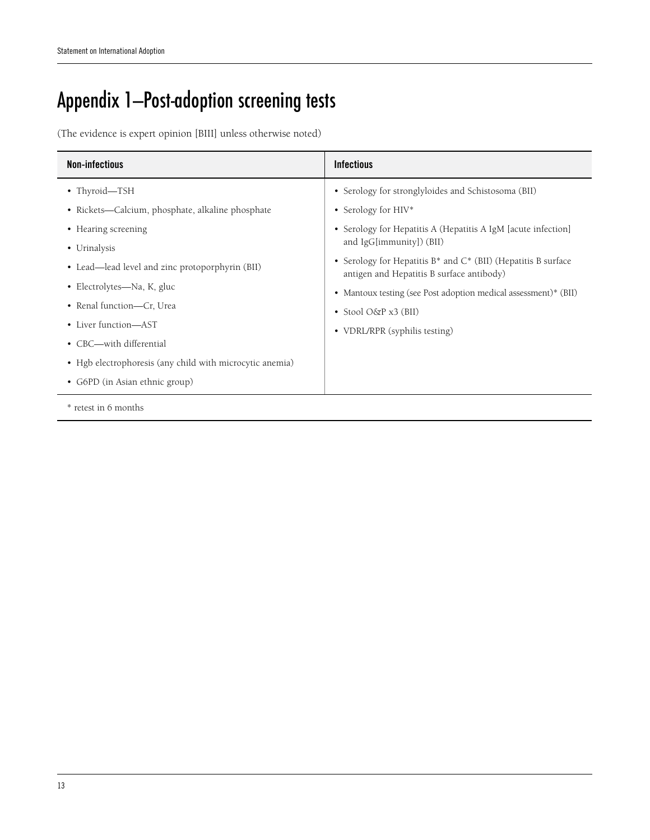# Appendix 1—Post-adoption screening tests

(The evidence is expert opinion [BIII] unless otherwise noted)

| <b>Non-infectious</b>                                    | <b>Infectious</b>                                                                                          |  |  |
|----------------------------------------------------------|------------------------------------------------------------------------------------------------------------|--|--|
| • Thyroid-TSH                                            | • Serology for stronglyloides and Schistosoma (BII)                                                        |  |  |
| • Rickets—Calcium, phosphate, alkaline phosphate         | • Serology for HIV*                                                                                        |  |  |
| • Hearing screening                                      | • Serology for Hepatitis A (Hepatitis A IgM [acute infection]<br>and IgG[immunity]) (BII)                  |  |  |
| • Urinalysis                                             |                                                                                                            |  |  |
| • Lead—lead level and zinc protoporphyrin (BII)          | • Serology for Hepatitis B* and C* (BII) (Hepatitis B surface<br>antigen and Hepatitis B surface antibody) |  |  |
| • Electrolytes—Na, K, gluc                               | • Mantoux testing (see Post adoption medical assessment)* (BII)                                            |  |  |
| • Renal function-Cr, Urea                                | • Stool $O\&P x3$ (BII)<br>• VDRL/RPR (syphilis testing)                                                   |  |  |
| • Liver function—AST                                     |                                                                                                            |  |  |
| • CBC-with differential                                  |                                                                                                            |  |  |
| • Hgb electrophoresis (any child with microcytic anemia) |                                                                                                            |  |  |
| • G6PD (in Asian ethnic group)                           |                                                                                                            |  |  |
| * retest in 6 months                                     |                                                                                                            |  |  |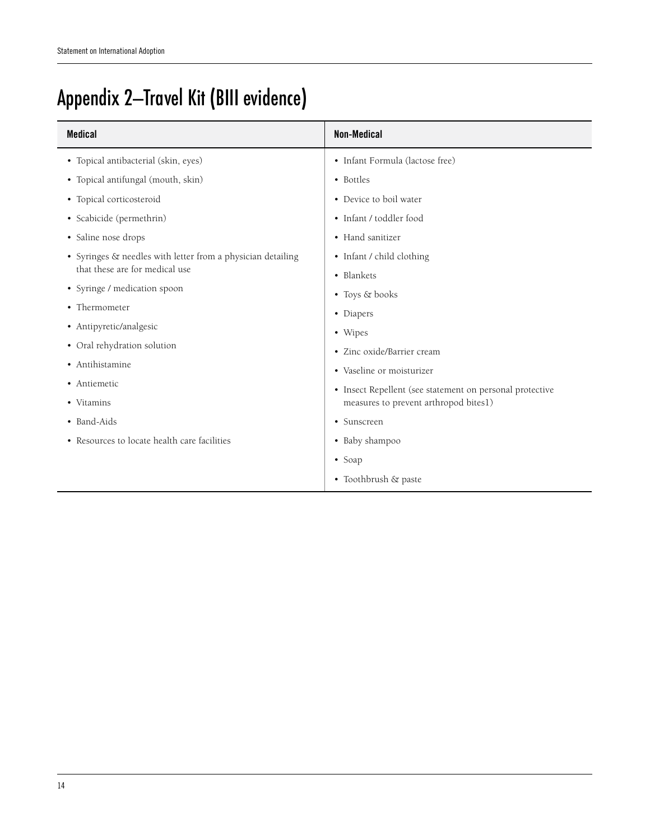# Appendix 2—Travel Kit (BIII evidence)

| <b>Medical</b>                                              | Non-Medical                                              |
|-------------------------------------------------------------|----------------------------------------------------------|
| • Topical antibacterial (skin, eyes)                        | · Infant Formula (lactose free)                          |
| • Topical antifungal (mouth, skin)                          | • Bottles                                                |
| • Topical corticosteroid                                    | • Device to boil water                                   |
| • Scabicide (permethrin)                                    | • Infant / toddler food                                  |
| • Saline nose drops                                         | • Hand sanitizer                                         |
| • Syringes & needles with letter from a physician detailing | • Infant / child clothing                                |
| that these are for medical use                              | • Blankets                                               |
| • Syringe / medication spoon                                | • Toys & books                                           |
| • Thermometer                                               | • Diapers                                                |
| • Antipyretic/analgesic                                     | • Wipes                                                  |
| • Oral rehydration solution                                 | • Zinc oxide/Barrier cream                               |
| • Antihistamine                                             | • Vaseline or moisturizer                                |
| • Antiemetic                                                | • Insect Repellent (see statement on personal protective |
| • Vitamins                                                  | measures to prevent arthropod bites1)                    |
| • Band-Aids                                                 | • Sunscreen                                              |
| • Resources to locate health care facilities                | • Baby shampoo                                           |
|                                                             | $\bullet$ Soap                                           |
|                                                             | • Toothbrush & paste                                     |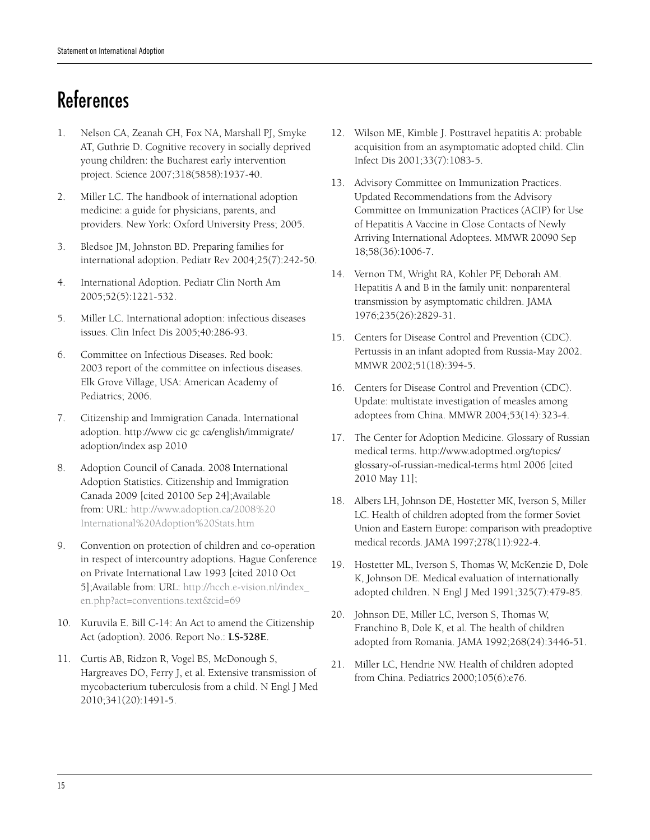# References

- 1. Nelson CA, Zeanah CH, Fox NA, Marshall PJ, Smyke AT, Guthrie D. Cognitive recovery in socially deprived young children: the Bucharest early intervention project. Science 2007;318(5858):1937-40.
- 2. Miller LC. The handbook of international adoption medicine: a guide for physicians, parents, and providers. New York: Oxford University Press; 2005.
- 3. Bledsoe JM, Johnston BD. Preparing families for international adoption. Pediatr Rev 2004;25(7):242-50.
- 4. International Adoption. Pediatr Clin North Am 2005;52(5):1221-532.
- 5. Miller LC. International adoption: infectious diseases issues. Clin Infect Dis 2005;40:286-93.
- 6. Committee on Infectious Diseases. Red book: 2003 report of the committee on infectious diseases. Elk Grove Village, USA: American Academy of Pediatrics; 2006.
- 7. Citizenship and Immigration Canada. International adoption. http://www cic gc ca/english/immigrate/ adoption/index asp 2010
- 8. Adoption Council of Canada. 2008 International Adoption Statistics. Citizenship and Immigration Canada 2009 [cited 20100 Sep 24];Available from: URL: http://www.adoption.ca/2008%20 International%20Adoption%20Stats.htm
- 9. Convention on protection of children and co-operation in respect of intercountry adoptions. Hague Conference on Private International Law 1993 [cited 2010 Oct 5];Available from: URL: http://hcch.e-vision.nl/index\_ en.php?act=conventions.text&cid=69
- 10. Kuruvila E. Bill C-14: An Act to amend the Citizenship Act (adoption). 2006. Report No.: **LS-528E**.
- 11. Curtis AB, Ridzon R, Vogel BS, McDonough S, Hargreaves DO, Ferry J, et al. Extensive transmission of mycobacterium tuberculosis from a child. N Engl J Med 2010;341(20):1491-5.
- 12. Wilson ME, Kimble J. Posttravel hepatitis A: probable acquisition from an asymptomatic adopted child. Clin Infect Dis 2001;33(7):1083-5.
- 13. Advisory Committee on Immunization Practices. Updated Recommendations from the Advisory Committee on Immunization Practices (ACIP) for Use of Hepatitis A Vaccine in Close Contacts of Newly Arriving International Adoptees. MMWR 20090 Sep 18;58(36):1006-7.
- 14. Vernon TM, Wright RA, Kohler PF, Deborah AM. Hepatitis A and B in the family unit: nonparenteral transmission by asymptomatic children. JAMA 1976;235(26):2829-31.
- 15. Centers for Disease Control and Prevention (CDC). Pertussis in an infant adopted from Russia-May 2002. MMWR 2002;51(18):394-5.
- 16. Centers for Disease Control and Prevention (CDC). Update: multistate investigation of measles among adoptees from China. MMWR 2004;53(14):323-4.
- 17. The Center for Adoption Medicine. Glossary of Russian medical terms. http://www.adoptmed.org/topics/ glossary-of-russian-medical-terms html 2006 [cited 2010 May 11];
- 18. Albers LH, Johnson DE, Hostetter MK, Iverson S, Miller LC. Health of children adopted from the former Soviet Union and Eastern Europe: comparison with preadoptive medical records. JAMA 1997;278(11):922-4.
- 19. Hostetter ML, Iverson S, Thomas W, McKenzie D, Dole K, Johnson DE. Medical evaluation of internationally adopted children. N Engl J Med 1991;325(7):479-85.
- 20. Johnson DE, Miller LC, Iverson S, Thomas W, Franchino B, Dole K, et al. The health of children adopted from Romania. JAMA 1992;268(24):3446-51.
- 21. Miller LC, Hendrie NW. Health of children adopted from China. Pediatrics 2000;105(6):e76.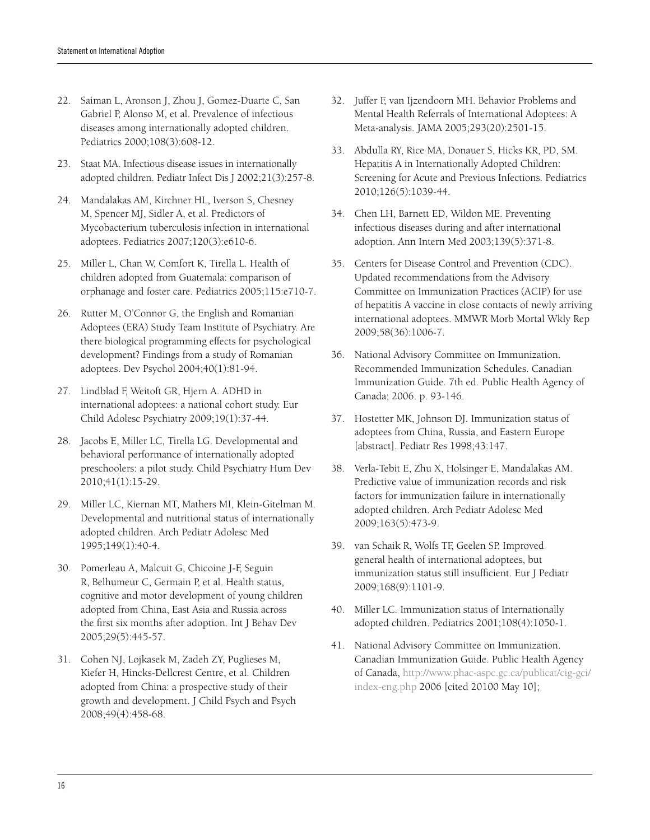- 22. Saiman L, Aronson J, Zhou J, Gomez-Duarte C, San Gabriel P, Alonso M, et al. Prevalence of infectious diseases among internationally adopted children. Pediatrics 2000;108(3):608-12.
- 23. Staat MA. Infectious disease issues in internationally adopted children. Pediatr Infect Dis J 2002;21(3):257-8.
- 24. Mandalakas AM, Kirchner HL, Iverson S, Chesney M, Spencer MJ, Sidler A, et al. Predictors of Mycobacterium tuberculosis infection in international adoptees. Pediatrics 2007;120(3):e610-6.
- 25. Miller L, Chan W, Comfort K, Tirella L. Health of children adopted from Guatemala: comparison of orphanage and foster care. Pediatrics 2005;115:e710-7.
- 26. Rutter M, O'Connor G, the English and Romanian Adoptees (ERA) Study Team Institute of Psychiatry. Are there biological programming effects for psychological development? Findings from a study of Romanian adoptees. Dev Psychol 2004;40(1):81-94.
- 27. Lindblad F, Weitoft GR, Hjern A. ADHD in international adoptees: a national cohort study. Eur Child Adolesc Psychiatry 2009;19(1):37-44.
- 28. Jacobs E, Miller LC, Tirella LG. Developmental and behavioral performance of internationally adopted preschoolers: a pilot study. Child Psychiatry Hum Dev 2010;41(1):15-29.
- 29. Miller LC, Kiernan MT, Mathers MI, Klein-Gitelman M. Developmental and nutritional status of internationally adopted children. Arch Pediatr Adolesc Med 1995;149(1):40-4.
- 30. Pomerleau A, Malcuit G, Chicoine J-F, Seguin R, Belhumeur C, Germain P, et al. Health status, cognitive and motor development of young children adopted from China, East Asia and Russia across the first six months after adoption. Int J Behav Dev 2005;29(5):445-57.
- 31. Cohen NJ, Lojkasek M, Zadeh ZY, Puglieses M, Kiefer H, Hincks-Dellcrest Centre, et al. Children adopted from China: a prospective study of their growth and development. J Child Psych and Psych 2008;49(4):458-68.
- 32. Juffer F, van Ijzendoorn MH. Behavior Problems and Mental Health Referrals of International Adoptees: A Meta-analysis. JAMA 2005;293(20):2501-15.
- 33. Abdulla RY, Rice MA, Donauer S, Hicks KR, PD, SM. Hepatitis A in Internationally Adopted Children: Screening for Acute and Previous Infections. Pediatrics 2010;126(5):1039-44.
- 34. Chen LH, Barnett ED, Wildon ME. Preventing infectious diseases during and after international adoption. Ann Intern Med 2003;139(5):371-8.
- 35. Centers for Disease Control and Prevention (CDC). Updated recommendations from the Advisory Committee on Immunization Practices (ACIP) for use of hepatitis A vaccine in close contacts of newly arriving international adoptees. MMWR Morb Mortal Wkly Rep 2009;58(36):1006-7.
- 36. National Advisory Committee on Immunization. Recommended Immunization Schedules. Canadian Immunization Guide. 7th ed. Public Health Agency of Canada; 2006. p. 93-146.
- 37. Hostetter MK, Johnson DJ. Immunization status of adoptees from China, Russia, and Eastern Europe [abstract]. Pediatr Res 1998;43:147.
- 38. Verla-Tebit E, Zhu X, Holsinger E, Mandalakas AM. Predictive value of immunization records and risk factors for immunization failure in internationally adopted children. Arch Pediatr Adolesc Med 2009;163(5):473-9.
- 39. van Schaik R, Wolfs TF, Geelen SP. Improved general health of international adoptees, but immunization status still insufficient. Eur J Pediatr 2009;168(9):1101-9.
- 40. Miller LC. Immunization status of Internationally adopted children. Pediatrics 2001;108(4):1050-1.
- 41. National Advisory Committee on Immunization. Canadian Immunization Guide. Public Health Agency of Canada, http://www.phac-aspc.gc.ca/publicat/cig-gci/ index-eng.php 2006 [cited 20100 May 10];